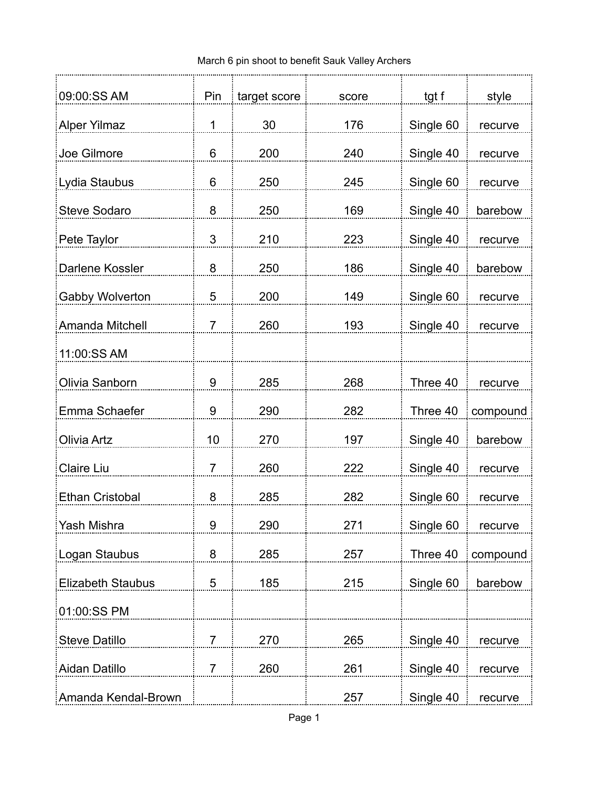| 09:00:SS AM              | Pin | target score | score | tgt f     | style    |
|--------------------------|-----|--------------|-------|-----------|----------|
| <b>Alper Yilmaz</b>      | 1   | 30           | 176   | Single 60 | recurve  |
| Joe Gilmore              | 6   | 200          | 240   | Single 40 | recurve  |
| Lydia Staubus            | 6   | 250          | 245   | Single 60 | recurve  |
| <b>Steve Sodaro</b>      | 8   | 250          | 169   | Single 40 | barebow  |
| Pete Taylor              | 3   | 210          | 223   | Single 40 | recurve  |
| Darlene Kossler          | 8   | 250          | 186   | Single 40 | barebow  |
| Gabby Wolverton          | 5   | 200          | 149   | Single 60 | recurve  |
| Amanda Mitchell          | 7   | 260          | 193   | Single 40 | recurve  |
| 11:00:SS AM              |     |              |       |           |          |
| Olivia Sanborn           | 9   | 285          | 268   | Three 40  | recurve  |
| Emma Schaefer            | 9   | 290          | 282   | Three 40  | compound |
| <b>Olivia Artz</b>       | 10  | 270          | 197   |           |          |
|                          |     |              |       | Single 40 | barebow  |
| Claire Liu               | 7   | 260          | 222   | Single 40 | recurve  |
| <b>Ethan Cristobal</b>   | 8   | 285          | 282   | Single 60 | recurve  |
| Yash Mishra              | 9   | 290          | 271   | Single 60 | recurve  |
| Logan Staubus            | 8   | 285          | 257   | Three 40  | compound |
| <b>Elizabeth Staubus</b> | 5   | 185          | 215   | Single 60 | barebow  |
| 01:00:SS PM              |     |              |       |           |          |
| <b>Steve Datillo</b>     | 7   | 270          | 265   | Single 40 | recurve  |
| Aidan Datillo            | 7   | 260          | 261   | Single 40 | recurve  |
| Amanda Kendal-Brown      |     |              | 257   | Single 40 | recurve  |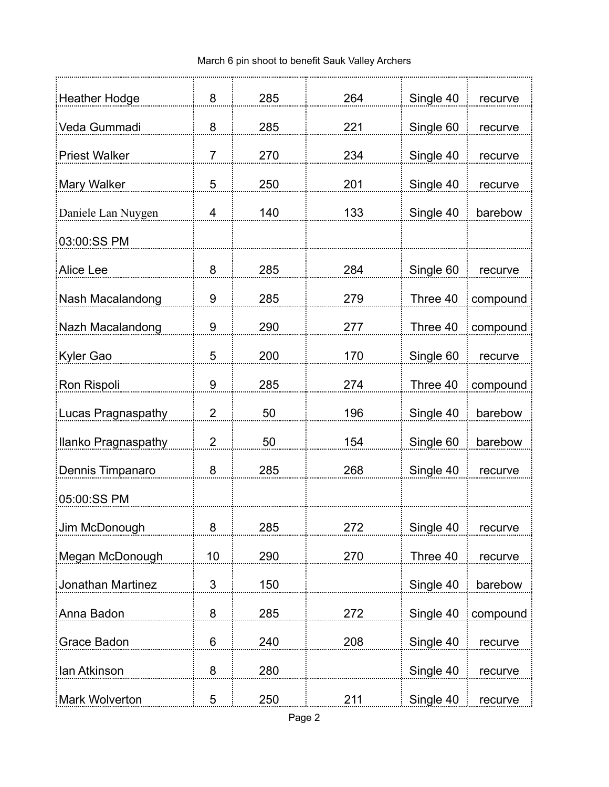| <b>Heather Hodge</b>      | 8              | 285 | 264 | Single 40 | recurve  |
|---------------------------|----------------|-----|-----|-----------|----------|
| Veda Gummadi              | 8              | 285 | 221 | Single 60 | recurve  |
| <b>Priest Walker</b>      | 7              | 270 | 234 | Single 40 | recurve  |
| Mary Walker               | 5              | 250 | 201 | Single 40 | recurve  |
| Daniele Lan Nuygen        | 4              | 140 | 133 | Single 40 | barebow  |
| 03:00:SS PM               |                |     |     |           |          |
| Alice Lee                 | 8              | 285 | 284 | Single 60 | recurve  |
| Nash Macalandong          | 9              | 285 | 279 | Three 40  | compound |
| Nazh Macalandong          | 9              | 290 | 277 | Three 40  | compound |
| Kyler Gao                 | 5              | 200 | 170 | Single 60 | recurve  |
| Ron Rispoli               | 9              | 285 | 274 | Three 40  | compound |
| <b>Lucas Pragnaspathy</b> | $\overline{2}$ | 50  | 196 | Single 40 | barebow  |
| Ilanko Pragnaspathy       | 2              | 50  | 154 | Single 60 | barebow  |
| Dennis Timpanaro          | 8              | 285 | 268 | Single 40 | recurve  |
| 05:00:SS PM               |                |     |     |           |          |
| Jim McDonough             | 8              | 285 | 272 | Single 40 | recurve  |
| Megan McDonough           | 10             | 290 | 270 | Three 40  | recurve  |
| Jonathan Martinez         | $\mathfrak{S}$ | 150 |     | Single 40 | barebow  |
| Anna Badon                | 8              | 285 | 272 | Single 40 | compound |
| Grace Badon               | 6              | 240 | 208 | Single 40 | recurve  |
| lan Atkinson              | 8              | 280 |     | Single 40 | recurve  |
| Mark Wolverton            | 5              | 250 | 211 | Single 40 | recurve  |
|                           |                |     |     |           |          |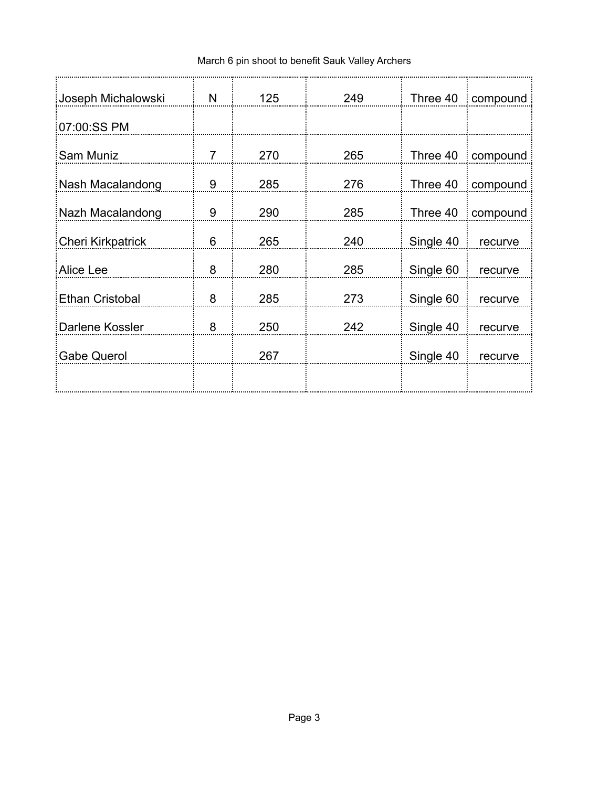| Joseph Michalowski       | N | 125 | 249 | Three 40  | compound |
|--------------------------|---|-----|-----|-----------|----------|
| 07:00:SS PM              |   |     |     |           |          |
| Sam Muniz                | 7 | 270 | 265 | Three 40  | compound |
| Nash Macalandong         | 9 | 285 | 276 | Three 40  | compound |
| Nazh Macalandong         | 9 | 290 | 285 | Three 40  | compound |
| <b>Cheri Kirkpatrick</b> | 6 | 265 | 240 | Single 40 | recurve  |
| Alice Lee                | 8 | 280 | 285 | Single 60 | recurve  |
| <b>Ethan Cristobal</b>   | 8 | 285 | 273 | Single 60 | recurve  |
| Darlene Kossler          | 8 | 250 | 242 | Single 40 | recurve  |
| <b>Gabe Querol</b>       |   | 267 |     | Single 40 | recurve  |
|                          |   |     |     |           |          |
|                          |   |     |     |           |          |

## March 6 pin shoot to benefit Sauk Valley Archers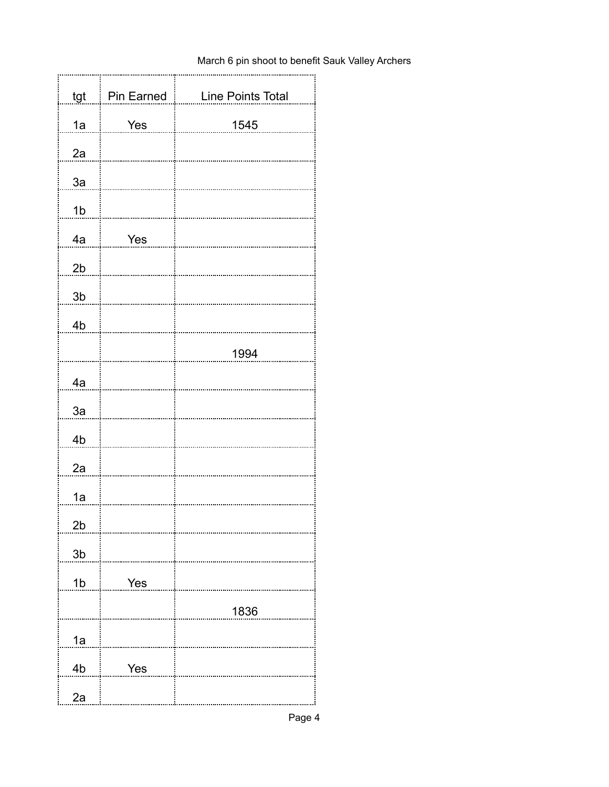## March 6 pin shoot to benefit Sauk Valley Archers

| tgt            | Pin Earned | Line Points Total |
|----------------|------------|-------------------|
| 1a             | Yes        | 1545              |
| 2a             |            |                   |
| 3a             |            |                   |
| 1 <sub>b</sub> |            |                   |
| 4a             | Yes        |                   |
|                |            |                   |
| 2 <sub>b</sub> |            |                   |
| 3 <sub>b</sub> |            |                   |
| 4b             |            |                   |
|                |            | 1994              |
| 4a             |            |                   |
| 3a             |            |                   |
| 4b             |            |                   |
| 2a             |            |                   |
| 1a             |            |                   |
| 2b             |            |                   |
| 3 <sub>b</sub> |            |                   |
| 1 <sub>b</sub> | Yes        |                   |
|                |            | 1836              |
| 1a             |            |                   |
| 4b             | Yes        |                   |
| 2a             |            |                   |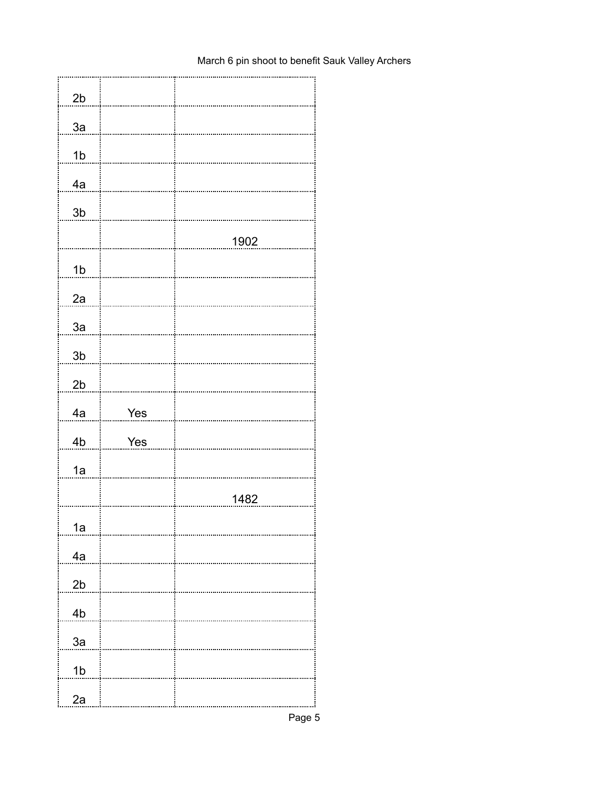| 2b             |     |      |
|----------------|-----|------|
| 3a             |     |      |
| 1 <sub>b</sub> |     |      |
| 4a             |     |      |
| $3\mathsf{b}$  |     |      |
|                |     | 1902 |
| 1 <sub>b</sub> |     |      |
| 2a             |     |      |
| 3a             |     |      |
| 3 <sub>b</sub> |     |      |
| 2 <sub>b</sub> |     |      |
|                |     |      |
|                |     |      |
| 4a             | Yes |      |
| 4b             | Yes |      |
| 1a             |     |      |
|                |     | 1482 |
| 1a             |     |      |
| 4a             |     |      |
| 2b             |     |      |
| 4 <sub>b</sub> |     |      |
| 3a             |     |      |
| 1 <sub>b</sub> |     |      |

## March 6 pin shoot to benefit Sauk Valley Archers

Page 5